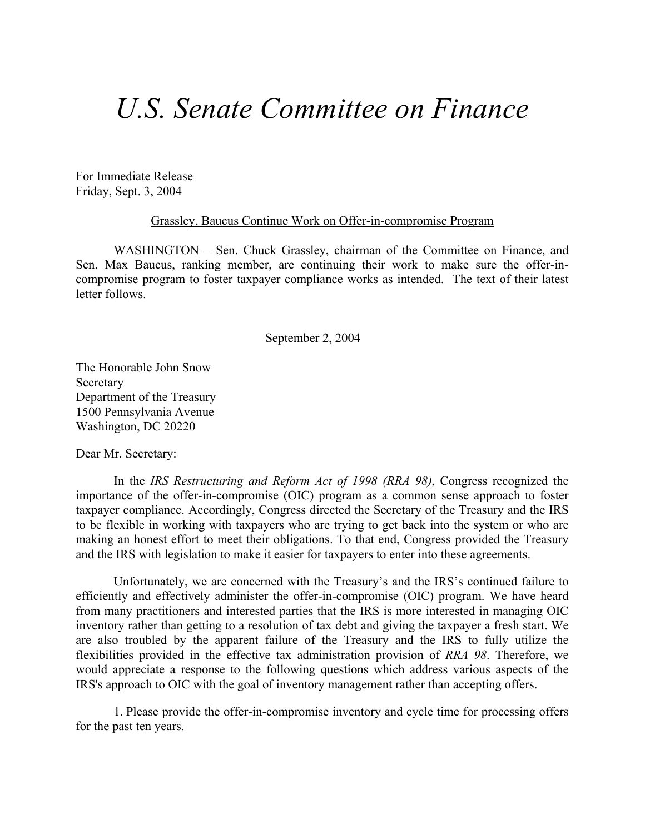## *U.S. Senate Committee on Finance*

For Immediate Release Friday, Sept. 3, 2004

## Grassley, Baucus Continue Work on Offer-in-compromise Program

WASHINGTON – Sen. Chuck Grassley, chairman of the Committee on Finance, and Sen. Max Baucus, ranking member, are continuing their work to make sure the offer-incompromise program to foster taxpayer compliance works as intended. The text of their latest letter follows.

September 2, 2004

The Honorable John Snow Secretary Department of the Treasury 1500 Pennsylvania Avenue Washington, DC 20220

Dear Mr. Secretary:

 In the *IRS Restructuring and Reform Act of 1998 (RRA 98)*, Congress recognized the importance of the offer-in-compromise (OIC) program as a common sense approach to foster taxpayer compliance. Accordingly, Congress directed the Secretary of the Treasury and the IRS to be flexible in working with taxpayers who are trying to get back into the system or who are making an honest effort to meet their obligations. To that end, Congress provided the Treasury and the IRS with legislation to make it easier for taxpayers to enter into these agreements.

Unfortunately, we are concerned with the Treasury's and the IRS's continued failure to efficiently and effectively administer the offer-in-compromise (OIC) program. We have heard from many practitioners and interested parties that the IRS is more interested in managing OIC inventory rather than getting to a resolution of tax debt and giving the taxpayer a fresh start. We are also troubled by the apparent failure of the Treasury and the IRS to fully utilize the flexibilities provided in the effective tax administration provision of *RRA 98*. Therefore, we would appreciate a response to the following questions which address various aspects of the IRS's approach to OIC with the goal of inventory management rather than accepting offers.

 1. Please provide the offer-in-compromise inventory and cycle time for processing offers for the past ten years.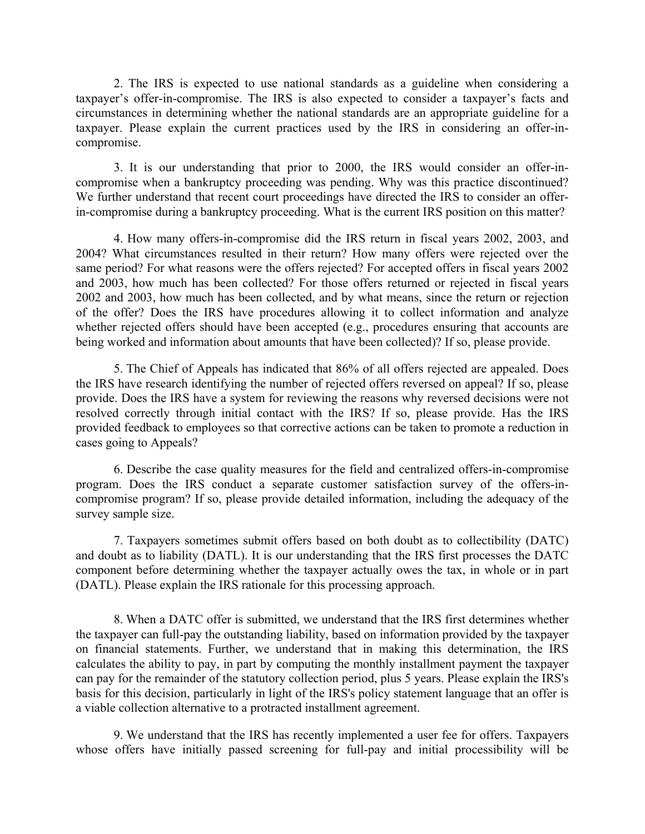2. The IRS is expected to use national standards as a guideline when considering a taxpayer's offer-in-compromise. The IRS is also expected to consider a taxpayer's facts and circumstances in determining whether the national standards are an appropriate guideline for a taxpayer. Please explain the current practices used by the IRS in considering an offer-incompromise.

 3. It is our understanding that prior to 2000, the IRS would consider an offer-incompromise when a bankruptcy proceeding was pending. Why was this practice discontinued? We further understand that recent court proceedings have directed the IRS to consider an offerin-compromise during a bankruptcy proceeding. What is the current IRS position on this matter?

 4. How many offers-in-compromise did the IRS return in fiscal years 2002, 2003, and 2004? What circumstances resulted in their return? How many offers were rejected over the same period? For what reasons were the offers rejected? For accepted offers in fiscal years 2002 and 2003, how much has been collected? For those offers returned or rejected in fiscal years 2002 and 2003, how much has been collected, and by what means, since the return or rejection of the offer? Does the IRS have procedures allowing it to collect information and analyze whether rejected offers should have been accepted (e.g., procedures ensuring that accounts are being worked and information about amounts that have been collected)? If so, please provide.

 5. The Chief of Appeals has indicated that 86% of all offers rejected are appealed. Does the IRS have research identifying the number of rejected offers reversed on appeal? If so, please provide. Does the IRS have a system for reviewing the reasons why reversed decisions were not resolved correctly through initial contact with the IRS? If so, please provide. Has the IRS provided feedback to employees so that corrective actions can be taken to promote a reduction in cases going to Appeals?

 6. Describe the case quality measures for the field and centralized offers-in-compromise program. Does the IRS conduct a separate customer satisfaction survey of the offers-incompromise program? If so, please provide detailed information, including the adequacy of the survey sample size.

 7. Taxpayers sometimes submit offers based on both doubt as to collectibility (DATC) and doubt as to liability (DATL). It is our understanding that the IRS first processes the DATC component before determining whether the taxpayer actually owes the tax, in whole or in part (DATL). Please explain the IRS rationale for this processing approach.

 8. When a DATC offer is submitted, we understand that the IRS first determines whether the taxpayer can full-pay the outstanding liability, based on information provided by the taxpayer on financial statements. Further, we understand that in making this determination, the IRS calculates the ability to pay, in part by computing the monthly installment payment the taxpayer can pay for the remainder of the statutory collection period, plus 5 years. Please explain the IRS's basis for this decision, particularly in light of the IRS's policy statement language that an offer is a viable collection alternative to a protracted installment agreement.

 9. We understand that the IRS has recently implemented a user fee for offers. Taxpayers whose offers have initially passed screening for full-pay and initial processibility will be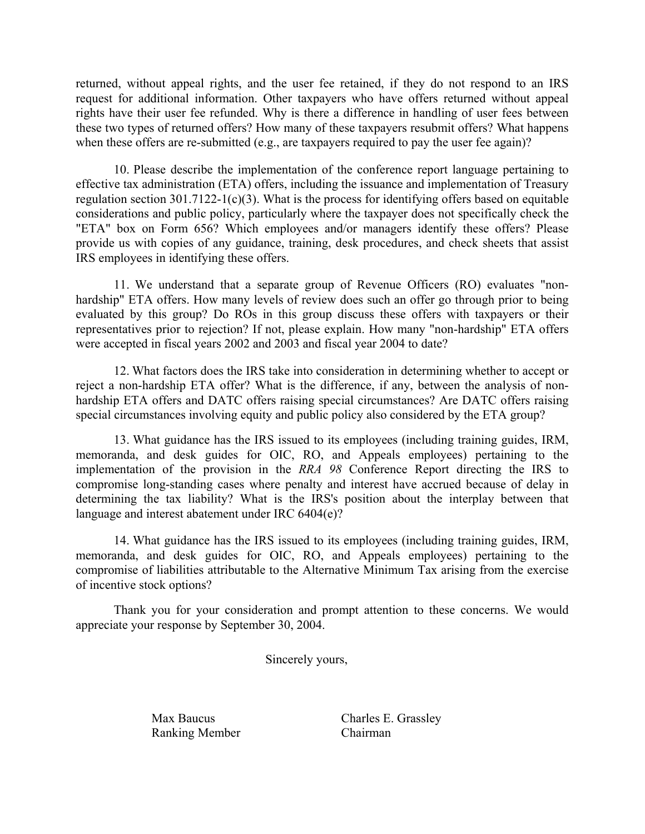returned, without appeal rights, and the user fee retained, if they do not respond to an IRS request for additional information. Other taxpayers who have offers returned without appeal rights have their user fee refunded. Why is there a difference in handling of user fees between these two types of returned offers? How many of these taxpayers resubmit offers? What happens when these offers are re-submitted (e.g., are taxpayers required to pay the user fee again)?

 10. Please describe the implementation of the conference report language pertaining to effective tax administration (ETA) offers, including the issuance and implementation of Treasury regulation section  $301.7122-1(c)(3)$ . What is the process for identifying offers based on equitable considerations and public policy, particularly where the taxpayer does not specifically check the "ETA" box on Form 656? Which employees and/or managers identify these offers? Please provide us with copies of any guidance, training, desk procedures, and check sheets that assist IRS employees in identifying these offers.

 11. We understand that a separate group of Revenue Officers (RO) evaluates "nonhardship" ETA offers. How many levels of review does such an offer go through prior to being evaluated by this group? Do ROs in this group discuss these offers with taxpayers or their representatives prior to rejection? If not, please explain. How many "non-hardship" ETA offers were accepted in fiscal years 2002 and 2003 and fiscal year 2004 to date?

 12. What factors does the IRS take into consideration in determining whether to accept or reject a non-hardship ETA offer? What is the difference, if any, between the analysis of nonhardship ETA offers and DATC offers raising special circumstances? Are DATC offers raising special circumstances involving equity and public policy also considered by the ETA group?

 13. What guidance has the IRS issued to its employees (including training guides, IRM, memoranda, and desk guides for OIC, RO, and Appeals employees) pertaining to the implementation of the provision in the *RRA 98* Conference Report directing the IRS to compromise long-standing cases where penalty and interest have accrued because of delay in determining the tax liability? What is the IRS's position about the interplay between that language and interest abatement under IRC 6404(e)?

 14. What guidance has the IRS issued to its employees (including training guides, IRM, memoranda, and desk guides for OIC, RO, and Appeals employees) pertaining to the compromise of liabilities attributable to the Alternative Minimum Tax arising from the exercise of incentive stock options?

 Thank you for your consideration and prompt attention to these concerns. We would appreciate your response by September 30, 2004.

Sincerely yours,

Ranking Member Chairman

Max Baucus Charles E. Grassley